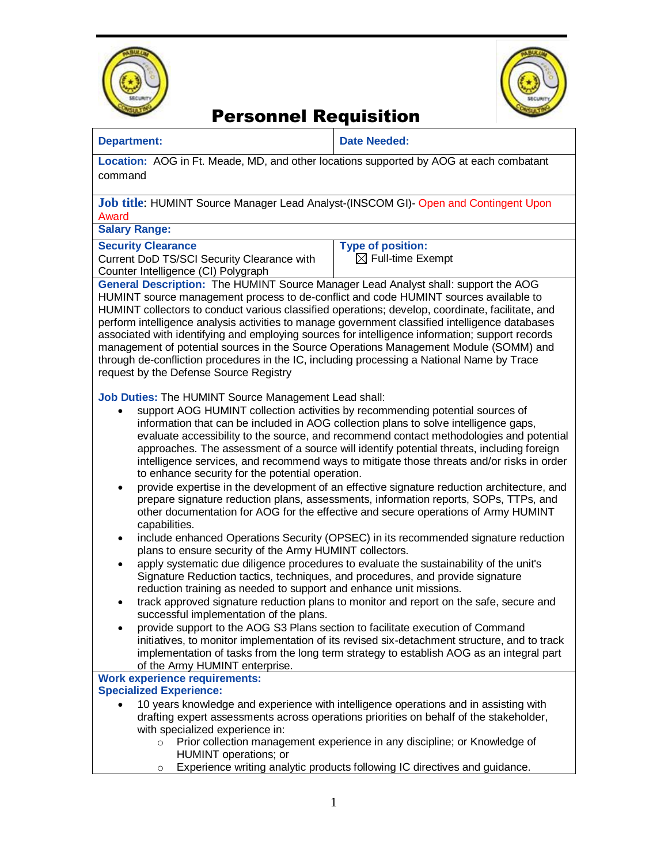



## Personnel Requisition

### **Department: Date Needed:**

**Location:** AOG in Ft. Meade, MD, and other locations supported by AOG at each combatant command

**Job title**: HUMINT Source Manager Lead Analyst-(INSCOM GI)- Open and Contingent Upon Award

**Salary Range:** 

#### **Security Clearance**

Current DoD TS/SCI Security Clearance with Counter Intelligence (CI) Polygraph

**Type of position:** 

 $\boxtimes$  Full-time Exempt

**General Description:** The HUMINT Source Manager Lead Analyst shall: support the AOG HUMINT source management process to de-conflict and code HUMINT sources available to HUMINT collectors to conduct various classified operations; develop, coordinate, facilitate, and perform intelligence analysis activities to manage government classified intelligence databases associated with identifying and employing sources for intelligence information; support records management of potential sources in the Source Operations Management Module (SOMM) and through de-confliction procedures in the IC, including processing a National Name by Trace request by the Defense Source Registry

**Job Duties:** The HUMINT Source Management Lead shall:

- support AOG HUMINT collection activities by recommending potential sources of information that can be included in AOG collection plans to solve intelligence gaps, evaluate accessibility to the source, and recommend contact methodologies and potential approaches. The assessment of a source will identify potential threats, including foreign intelligence services, and recommend ways to mitigate those threats and/or risks in order to enhance security for the potential operation.
- provide expertise in the development of an effective signature reduction architecture, and prepare signature reduction plans, assessments, information reports, SOPs, TTPs, and other documentation for AOG for the effective and secure operations of Army HUMINT capabilities.
- include enhanced Operations Security (OPSEC) in its recommended signature reduction plans to ensure security of the Army HUMINT collectors.
- apply systematic due diligence procedures to evaluate the sustainability of the unit's Signature Reduction tactics, techniques, and procedures, and provide signature reduction training as needed to support and enhance unit missions.
- track approved signature reduction plans to monitor and report on the safe, secure and successful implementation of the plans.
- provide support to the AOG S3 Plans section to facilitate execution of Command initiatives, to monitor implementation of its revised six-detachment structure, and to track implementation of tasks from the long term strategy to establish AOG as an integral part of the Army HUMINT enterprise.

### **Work experience requirements:**

### **Specialized Experience:**

- 10 years knowledge and experience with intelligence operations and in assisting with drafting expert assessments across operations priorities on behalf of the stakeholder, with specialized experience in:
	- o Prior collection management experience in any discipline; or Knowledge of HUMINT operations; or
	- o Experience writing analytic products following IC directives and guidance.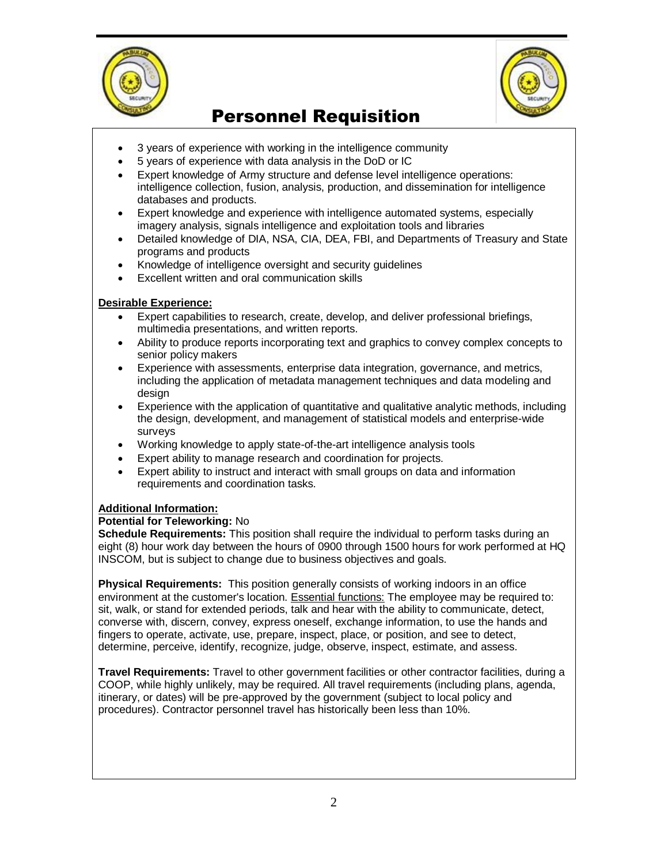



# Personnel Requisition

- 3 years of experience with working in the intelligence community
- 5 years of experience with data analysis in the DoD or IC
- Expert knowledge of Army structure and defense level intelligence operations: intelligence collection, fusion, analysis, production, and dissemination for intelligence databases and products.
- Expert knowledge and experience with intelligence automated systems, especially imagery analysis, signals intelligence and exploitation tools and libraries
- Detailed knowledge of DIA, NSA, CIA, DEA, FBI, and Departments of Treasury and State programs and products
- Knowledge of intelligence oversight and security guidelines
- Excellent written and oral communication skills

### **Desirable Experience:**

- Expert capabilities to research, create, develop, and deliver professional briefings, multimedia presentations, and written reports.
- Ability to produce reports incorporating text and graphics to convey complex concepts to senior policy makers
- Experience with assessments, enterprise data integration, governance, and metrics, including the application of metadata management techniques and data modeling and design
- Experience with the application of quantitative and qualitative analytic methods, including the design, development, and management of statistical models and enterprise-wide surveys
- Working knowledge to apply state-of-the-art intelligence analysis tools
- Expert ability to manage research and coordination for projects.
- Expert ability to instruct and interact with small groups on data and information requirements and coordination tasks.

### **Additional Information:**

### **Potential for Teleworking:** No

**Schedule Requirements:** This position shall require the individual to perform tasks during an eight (8) hour work day between the hours of 0900 through 1500 hours for work performed at HQ INSCOM, but is subject to change due to business objectives and goals.

**Physical Requirements:** This position generally consists of working indoors in an office environment at the customer's location. Essential functions: The employee may be required to: sit, walk, or stand for extended periods, talk and hear with the ability to communicate, detect, converse with, discern, convey, express oneself, exchange information, to use the hands and fingers to operate, activate, use, prepare, inspect, place, or position, and see to detect, determine, perceive, identify, recognize, judge, observe, inspect, estimate, and assess.

**Travel Requirements:** Travel to other government facilities or other contractor facilities, during a COOP, while highly unlikely, may be required. All travel requirements (including plans, agenda, itinerary, or dates) will be pre-approved by the government (subject to local policy and procedures). Contractor personnel travel has historically been less than 10%.